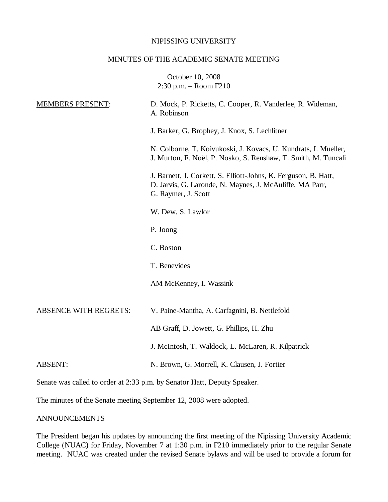#### NIPISSING UNIVERSITY

#### MINUTES OF THE ACADEMIC SENATE MEETING

October 10, 2008 2:30 p.m. – Room F210 MEMBERS PRESENT: D. Mock, P. Ricketts, C. Cooper, R. Vanderlee, R. Wideman, A. Robinson J. Barker, G. Brophey, J. Knox, S. Lechlitner N. Colborne, T. Koivukoski, J. Kovacs, U. Kundrats, I. Mueller, J. Murton, F. Noël, P. Nosko, S. Renshaw, T. Smith, M. Tuncali J. Barnett, J. Corkett, S. Elliott-Johns, K. Ferguson, B. Hatt, D. Jarvis, G. Laronde, N. Maynes, J. McAuliffe, MA Parr, G. Raymer, J. Scott W. Dew, S. Lawlor P. Joong C. Boston T. Benevides AM McKenney, I. Wassink ABSENCE WITH REGRETS: V. Paine-Mantha, A. Carfagnini, B. Nettlefold AB Graff, D. Jowett, G. Phillips, H. Zhu J. McIntosh, T. Waldock, L. McLaren, R. Kilpatrick ABSENT: N. Brown, G. Morrell, K. Clausen, J. Fortier Senate was called to order at 2:33 p.m. by Senator Hatt, Deputy Speaker.

The minutes of the Senate meeting September 12, 2008 were adopted.

### **ANNOUNCEMENTS**

The President began his updates by announcing the first meeting of the Nipissing University Academic College (NUAC) for Friday, November 7 at 1:30 p.m. in F210 immediately prior to the regular Senate meeting. NUAC was created under the revised Senate bylaws and will be used to provide a forum for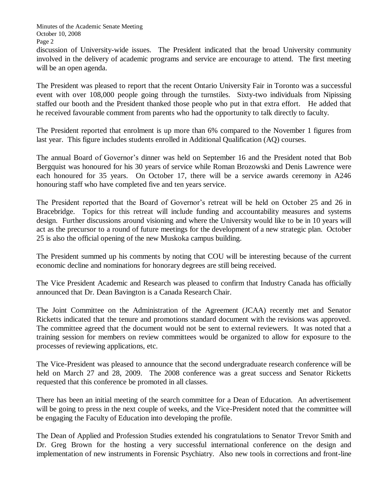Minutes of the Academic Senate Meeting October 10, 2008 Page 2

discussion of University-wide issues. The President indicated that the broad University community involved in the delivery of academic programs and service are encourage to attend. The first meeting will be an open agenda.

The President was pleased to report that the recent Ontario University Fair in Toronto was a successful event with over 108,000 people going through the turnstiles. Sixty-two individuals from Nipissing staffed our booth and the President thanked those people who put in that extra effort. He added that he received favourable comment from parents who had the opportunity to talk directly to faculty.

The President reported that enrolment is up more than 6% compared to the November 1 figures from last year. This figure includes students enrolled in Additional Qualification (AQ) courses.

The annual Board of Governor's dinner was held on September 16 and the President noted that Bob Bergquist was honoured for his 30 years of service while Roman Brozowski and Denis Lawrence were each honoured for 35 years. On October 17, there will be a service awards ceremony in A246 honouring staff who have completed five and ten years service.

The President reported that the Board of Governor's retreat will be held on October 25 and 26 in Bracebridge. Topics for this retreat will include funding and accountability measures and systems design. Further discussions around visioning and where the University would like to be in 10 years will act as the precursor to a round of future meetings for the development of a new strategic plan. October 25 is also the official opening of the new Muskoka campus building.

The President summed up his comments by noting that COU will be interesting because of the current economic decline and nominations for honorary degrees are still being received.

The Vice President Academic and Research was pleased to confirm that Industry Canada has officially announced that Dr. Dean Bavington is a Canada Research Chair.

The Joint Committee on the Administration of the Agreement (JCAA) recently met and Senator Ricketts indicated that the tenure and promotions standard document with the revisions was approved. The committee agreed that the document would not be sent to external reviewers. It was noted that a training session for members on review committees would be organized to allow for exposure to the processes of reviewing applications, etc.

The Vice-President was pleased to announce that the second undergraduate research conference will be held on March 27 and 28, 2009. The 2008 conference was a great success and Senator Ricketts requested that this conference be promoted in all classes.

There has been an initial meeting of the search committee for a Dean of Education. An advertisement will be going to press in the next couple of weeks, and the Vice-President noted that the committee will be engaging the Faculty of Education into developing the profile.

The Dean of Applied and Profession Studies extended his congratulations to Senator Trevor Smith and Dr. Greg Brown for the hosting a very successful international conference on the design and implementation of new instruments in Forensic Psychiatry. Also new tools in corrections and front-line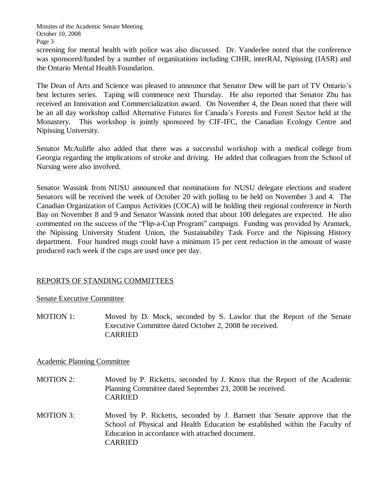screening for mental health with police was also discussed. Dr. Vanderlee noted that the conference was sponsored/funded by a number of organizations including CIHR, interRAI, Nipissing (IASR) and the Ontario Mental Health Foundation.

The Dean of Arts and Science was pleased to announce that Senator Dew will be part of TV Ontario's best lectures series. Taping will commence next Thursday. He also reported that Senator Zhu has received an Innovation and Commercialization award. On November 4, the Dean noted that there will be an all day workshop called Alternative Futures for Canada's Forests and Forest Sector held at the Monastery. This workshop is jointly sponsored by CIF-IFC, the Canadian Ecology Centre and Nipissing University.

Senator McAuliffe also added that there was a successful workshop with a medical college from Georgia regarding the implications of stroke and driving. He added that colleagues from the School of Nursing were also involved.

Senator Wassink from NUSU announced that nominations for NUSU delegate elections and student Senators will be received the week of October 20 with polling to be held on November 3 and 4. The Canadian Organization of Campus Activities (COCA) will be holding their regional conference in North Bay on November 8 and 9 and Senator Wassink noted that about 100 delegates are expected. He also commented on the success of the "Flip-a-Cup Program" campaign. Funding was provided by Aramark, the Nipissing University Student Union, the Sustainability Task Force and the Nipissing History department. Four hundred mugs could have a minimum 15 per cent reduction in the amount of waste produced each week if the cups are used once per day.

## REPORTS OF STANDING COMMITTEES

## Senate Executive Committee

MOTION 1: Moved by D. Mock, seconded by S. Lawlor that the Report of the Senate Executive Committee dated October 2, 2008 be received. CARRIED

## Academic Planning Committee

- MOTION 2: Moved by P. Ricketts, seconded by J. Knox that the Report of the Academic Planning Committee dated September 23, 2008 be received. CARRIED
- MOTION 3: Moved by P. Ricketts, seconded by J. Barnett that Senate approve that the School of Physical and Health Education be established within the Faculty of Education in accordance with attached document. CARRIED